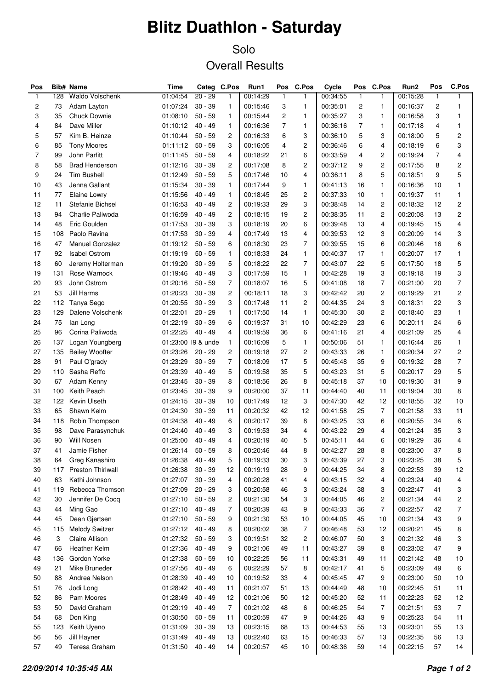## **Blitz Duathlon - Saturday**

## Solo Overall Results

| Pos            |     | <b>Bib# Name</b>            | Time              |           | Categ C.Pos    | Run1     | Pos          | C.Pos          | Cycle    | Pos            | C.Pos          | Run2     | Pos          | C.Pos                   |
|----------------|-----|-----------------------------|-------------------|-----------|----------------|----------|--------------|----------------|----------|----------------|----------------|----------|--------------|-------------------------|
| $\mathbf{1}$   | 128 | <b>Waldo Volschenk</b>      | 01:04:54          | $20 - 29$ | 1              | 00:14:29 | $\mathbf{1}$ | $\mathbf{1}$   | 00:34:55 | $\mathbf{1}$   | $\mathbf{1}$   | 00:15:28 | $\mathbf{1}$ | $\mathbf{1}$            |
| $\overline{c}$ | 73  | Adam Layton                 | 01:07:24          | $30 - 39$ | 1              | 00:15:46 | 3            | $\mathbf{1}$   | 00:35:01 | 2              | 1              | 00:16:37 | 2            | 1                       |
| 3              | 35  | Chuck Downie                | 01:08:10          | $50 - 59$ | 1              | 00:15:44 | 2            | 1              | 00:35:27 | 3              | 1              | 00:16:58 | 3            | 1                       |
| $\overline{4}$ | 84  | Dave Miller                 | 01:10:12          | $40 - 49$ | $\mathbf{1}$   | 00:16:36 | 7            | $\mathbf{1}$   | 00:36:16 | $\overline{7}$ | 1              | 00:17:18 | 4            | 1                       |
| 5              | 57  | Kim B. Heinze               | 01:10:44          | $50 - 59$ | 2              | 00:16:33 | 6            | 3              | 00:36:10 | 5              | 3              | 00:18:00 | 5            | $\overline{c}$          |
| 6              | 85  | <b>Tony Moores</b>          | 01:11:12          | $50 - 59$ | 3              | 00:16:05 | 4            | $\overline{c}$ | 00:36:46 | 6              | 4              | 00:18:19 | 6            | 3                       |
| $\overline{7}$ | 99  | <b>John Parfitt</b>         | 01:11:45          | $50 - 59$ | 4              | 00:18:22 | 21           | 6              | 00:33:59 | 4              | $\overline{c}$ | 00:19:24 | 7            | 4                       |
| 8              | 58  | <b>Brad Henderson</b>       | 01:12:16          | $30 - 39$ | 2              | 00:17:08 | 8            | $\overline{c}$ | 00:37:12 | 9              | $\overline{c}$ | 00:17:55 | 8            | 2                       |
| 9              | 24  | <b>Tim Bushell</b>          | 01:12:49          | $50 - 59$ | 5              | 00:17:46 | 10           | 4              | 00:36:11 | 8              | 5              | 00:18:51 | 9            | 5                       |
| 10             | 43  | Jenna Gallant               | 01:15:34          | $30 - 39$ | 1              | 00:17:44 | 9            | $\mathbf{1}$   | 00:41:13 | 16             | 1              | 00:16:36 | 10           | 1                       |
| 11             | 77  | Elaine Lowry                | 01:15:56          | $40 - 49$ | 1              | 00:18:45 | 25           | $\overline{c}$ | 00:37:33 | 10             | 1              | 00:19:37 | 11           | 1                       |
| 12             | 11  | Stefanie Bichsel            | 01:16:53          | 40 - 49   | $\overline{c}$ | 00:19:33 | 29           | 3              | 00:38:48 | 14             | $\overline{c}$ | 00:18:32 | 12           | $\overline{\mathbf{c}}$ |
| 13             | 94  | Charlie Paliwoda            | 01:16:59          | $40 - 49$ | $\overline{c}$ | 00:18:15 | 19           | 2              | 00:38:35 | 11             | $\overline{c}$ | 00:20:08 | 13           | $\overline{\mathbf{c}}$ |
| 14             | 48  | Eric Goulden                | 01:17:53          | $30 - 39$ | 3              | 00:18:19 | 20           | 6              | 00:39:48 | 13             | 4              | 00:19:45 | 15           | 4                       |
| 15             | 108 | Paolo Ravina                | 01:17:53          | $30 - 39$ | 4              | 00:17:49 | 13           | 4              | 00:39:53 | 12             | 3              | 00:20:09 | 14           | 3                       |
| 16             | 47  | <b>Manuel Gonzalez</b>      | 01:19:12          | $50 - 59$ | 6              | 00:18:30 | 23           | $\overline{7}$ | 00:39:55 | 15             | 6              | 00:20:46 | 16           | 6                       |
| 17             | 92  | <b>Isabel Ostrom</b>        | 01:19:19          | $50 - 59$ | $\mathbf{1}$   | 00:18:33 | 24           | $\mathbf{1}$   | 00:40:37 | 17             | 1              | 00:20:07 | 17           | 1                       |
| 18             | 60  | Jeremy Holterman            | 01:19:20          | $30 - 39$ | 5              | 00:18:22 | 22           | $\overline{7}$ | 00:43:07 | 22             | 5              | 00:17:50 | 18           | 5                       |
| 19             | 131 | Rose Warnock                | 01:19:46          | $40 - 49$ | 3              | 00:17:59 | 15           | $\mathbf{1}$   | 00:42:28 | 19             | 3              | 00:19:18 | 19           | 3                       |
| 20             | 93  | John Ostrom                 | 01:20:16          | $50 - 59$ | $\overline{7}$ | 00:18:07 | 16           | 5              | 00:41:08 | 18             | $\overline{7}$ | 00:21:00 | 20           | $\overline{7}$          |
| 21             | 53  | Jill Harms                  | 01:20:23          | $30 - 39$ | $\overline{c}$ | 00:18:11 | 18           | 3              | 00:42:42 | 20             | $\overline{c}$ | 00:19:29 | 21           | $\overline{\mathbf{c}}$ |
| 22             | 112 | Tanya Sego                  | 01:20:55          | $30 - 39$ | 3              | 00:17:48 | 11           | 2              | 00:44:35 | 24             | 3              | 00:18:31 | 22           | 3                       |
| 23             | 129 | Dalene Volschenk            | 01:22:01          | $20 - 29$ | $\mathbf{1}$   | 00:17:50 | 14           | $\mathbf{1}$   | 00:45:30 | 30             | $\overline{c}$ | 00:18:40 | 23           | 1                       |
| 24             | 75  |                             | 01:22:19          | $30 - 39$ | 6              | 00:19:37 | 31           | 10             | 00:42:29 | 23             | 6              | 00:20:11 | 24           | 6                       |
| 25             | 96  | lan Long<br>Corina Paliwoda | 01:22:25          | $40 - 49$ | 4              | 00:19:59 | 36           | 6              | 00:41:16 | 21             | 4              | 00:21:09 | 25           | 4                       |
|                |     |                             |                   |           |                |          | 5            | $\mathbf{1}$   |          |                | $\mathbf{1}$   |          | 26           |                         |
| 26             | 137 | Logan Youngberg             | 01:23:00 9 & unde |           | $\mathbf{1}$   | 00:16:09 |              |                | 00:50:06 | 51             |                | 00:16:44 |              | 1                       |
| 27             | 135 | <b>Bailey Woofter</b>       | 01:23:26          | $20 - 29$ | $\overline{c}$ | 00:19:18 | 27           | $\overline{c}$ | 00:43:33 | 26             | 1              | 00:20:34 | 27           | $\overline{\mathbf{c}}$ |
| 28             | 91  | Paul O'grady                | 01:23:29          | $30 - 39$ | $\overline{7}$ | 00:18:09 | 17           | 5              | 00:45:48 | 35             | 9              | 00:19:32 | 28           | $\boldsymbol{7}$        |
| 29             | 110 | Sasha Reffo                 | 01:23:39          | $40 - 49$ | 5              | 00:19:58 | 35           | 5              | 00:43:23 | 31             | 5              | 00:20:17 | 29           | 5                       |
| 30             | 67  | Adam Kenny                  | 01:23:45          | $30 - 39$ | 8              | 00:18:56 | 26           | 8              | 00:45:18 | 37             | 10             | 00:19:30 | 31           | 9                       |
| 31             | 100 | Keith Peach                 | 01:23:45          | $30 - 39$ | 9              | 00:20:00 | 37           | 11             | 00:44:40 | 40             | 11             | 00:19:04 | 30           | 8                       |
| 32             | 122 | Kevin Ulseth                | 01:24:15          | $30 - 39$ | 10             | 00:17:49 | 12           | 3              | 00:47:30 | 42             | 12             | 00:18:55 | 32           | 10                      |
| 33             | 65  | Shawn Kelm                  | 01:24:30          | $30 - 39$ | 11             | 00:20:32 | 42           | 12             | 00:41:58 | 25             | $\overline{7}$ | 00:21:58 | 33           | 11                      |
| 34             | 118 | Robin Thompson              | 01:24:38          | $40 - 49$ | 6              | 00:20:17 | 39           | 8              | 00:43:25 | 33             | 6              | 00:20:55 | 34           | 6                       |
| 35             | 98  | Dave Parasynchuk            | 01:24:40          | $40 - 49$ | 3              | 00:19:53 | 34           | 4              | 00:43:22 | 29             | 4              | 00:21:24 | 35           | 3                       |
| 36             | 90  | Will Nosen                  | 01:25:00          | $40 - 49$ | 4              | 00:20:19 | 40           | 5              | 00:45:11 | 44             | 6              | 00:19:29 | 36           | 4                       |
| $37\,$         | 41  | Jamie Fisher                | 01:26:14          | $50 - 59$ | 8              | 00:20:46 | 44           | 8              | 00:42:27 | 28             | 8              | 00:23:00 | 37           | 8                       |
| 38             | 64  | Greg Kanashiro              | 01:26:38          | $40 - 49$ | 5              | 00:19:33 | 30           | 3              | 00:43:39 | 27             | 3              | 00:23:25 | 38           | 5                       |
| 39             | 117 | <b>Preston Thirlwall</b>    | 01:26:38          | $30 - 39$ | 12             | 00:19:19 | 28           | 9              | 00:44:25 | 34             | 8              | 00:22:53 | 39           | 12                      |
| 40             | 63  | Kathi Johnson               | 01:27:07          | $30 - 39$ | 4              | 00:20:28 | 41           | 4              | 00:43:15 | 32             | 4              | 00:23:24 | 40           | 4                       |
| 41             | 119 | Rebecca Thomson             | 01:27:09          | $20 - 29$ | 3              | 00:20:58 | 46           | 3              | 00:43:24 | 38             | 3              | 00:22:47 | 41           | 3                       |
| 42             | 30  | Jennifer De Cocq            | 01:27:10          | $50 - 59$ | 2              | 00:21:30 | 54           | 3              | 00:44:05 | 46             | 2              | 00:21:34 | 44           | 2                       |
| 43             | 44  | Ming Gao                    | 01:27:10          | $40 - 49$ | 7              | 00:20:39 | 43           | 9              | 00:43:33 | 36             | 7              | 00:22:57 | 42           | 7                       |
| 44             | 45  | Dean Gjertsen               | 01:27:10          | $50 - 59$ | 9              | 00:21:30 | 53           | 10             | 00:44:05 | 45             | 10             | 00:21:34 | 43           | 9                       |
| 45             | 115 | <b>Melody Switzer</b>       | 01:27:12          | $40 - 49$ | 8              | 00:20:02 | 38           | $\overline{7}$ | 00:46:48 | 53             | 12             | 00:20:21 | 45           | 8                       |
| 46             | 3   | Claire Allison              | 01:27:32          | $50 - 59$ | 3              | 00:19:51 | 32           | 2              | 00:46:07 | 50             | 3              | 00:21:32 | 46           | 3                       |
| 47             | 66  | Heather Kelm                | 01:27:36          | $40 - 49$ | 9              | 00:21:06 | 49           | 11             | 00:43:27 | 39             | 8              | 00:23:02 | 47           | 9                       |
| 48             | 136 | Gordon Yorke                | 01:27:38          | $50 - 59$ | 10             | 00:22:25 | 56           | 11             | 00:43:31 | 49             | 11             | 00:21:42 | 48           | 10                      |
| 49             | 21  | Mike Bruneder               | 01:27:56          | $40 - 49$ | 6              | 00:22:29 | 57           | 8              | 00:42:17 | 41             | 5              | 00:23:09 | 49           | 6                       |
| 50             | 88  | Andrea Nelson               | 01:28:39          | $40 - 49$ | 10             | 00:19:52 | 33           | 4              | 00:45:45 | 47             | 9              | 00:23:00 | 50           | 10                      |
| 51             | 76  | Jodi Long                   | 01:28:42          | $40 - 49$ | 11             | 00:21:07 | 51           | 13             | 00:44:49 | 48             | 10             | 00:22:45 | 51           | 11                      |
| 52             | 86  | Pam Moores                  | 01:28:49          | $40 - 49$ | 12             | 00:21:06 | 50           | 12             | 00:45:20 | 52             | 11             | 00:22:23 | 52           | 12                      |
| 53             | 50  | David Graham                | 01:29:19          | $40 - 49$ | $\overline{7}$ | 00:21:02 | 48           | 6              | 00:46:25 | 54             | $\overline{7}$ | 00:21:51 | 53           | $\overline{7}$          |
| 54             | 68  | Don King                    | 01:30:50          | $50 - 59$ | 11             | 00:20:59 | 47           | 9              | 00:44:26 | 43             | 9              | 00:25:23 | 54           | 11                      |
| 55             | 123 | Keith Uyeno                 | 01:31:09          | $30 - 39$ | 13             | 00:23:15 | 68           | 13             | 00:44:53 | 55             | 13             | 00:23:01 | 55           | 13                      |
| 56             | 56  | Jill Hayner                 | 01:31:49          | $40 - 49$ | 13             | 00:22:40 | 63           | 15             | 00:46:33 | 57             | 13             | 00:22:35 | 56           | 13                      |
| 57             | 49  | Teresa Graham               | 01:31:50          | $40 - 49$ | 14             | 00:20:57 | 45           | 10             | 00:48:36 | 59             | 14             | 00:22:15 | 57           | 14                      |
|                |     |                             |                   |           |                |          |              |                |          |                |                |          |              |                         |